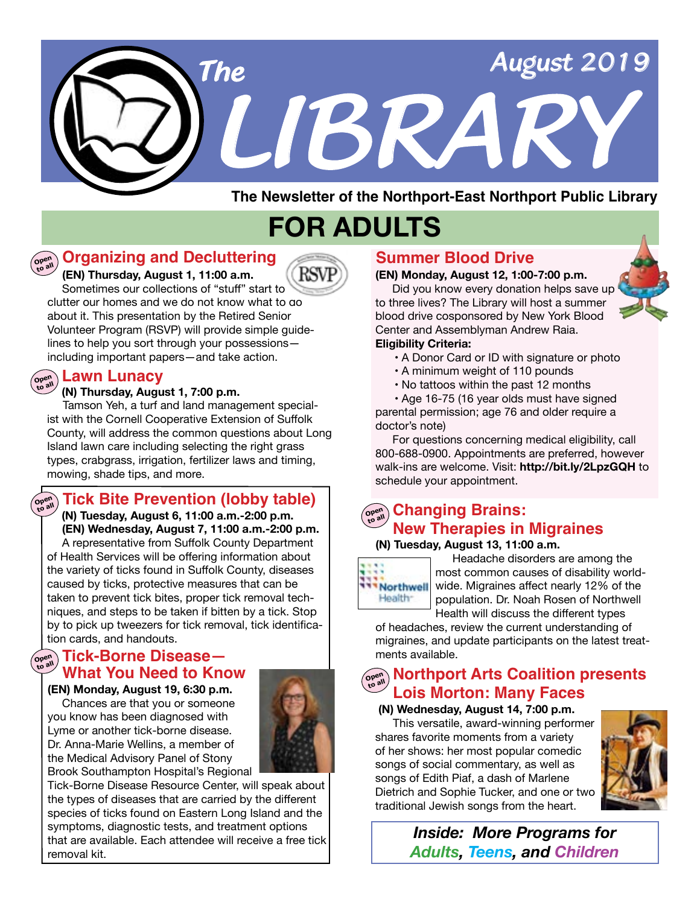

**The Newsletter of the Northport-East Northport Public Library**

# **FOR ADULTS**



#### **(EN) Thursday, August 1, 11:00 a.m. Organizing and Decluttering**

RSVI Sometimes our collections of "stuff" start to clutter our homes and we do not know what to do about it. This presentation by the Retired Senior Volunteer Program (RSVP) will provide simple guide-

lines to help you sort through your possessions including important papers—and take action.

**Open** 

#### **(N) Thursday, August 1, 7:00 p.m. Lawn Lunacy**

Tamson Yeh, a turf and land management specialist with the Cornell Cooperative Extension of Suffolk County, will address the common questions about Long Island lawn care including selecting the right grass types, crabgrass, irrigation, fertilizer laws and timing, mowing, shade tips, and more.

**Tick Bite Prevention (lobby table)**

 **(N) Tuesday, August 6, 11:00 a.m.-2:00 p.m. (EN) Wednesday, August 7, 11:00 a.m.-2:00 p.m.** A representative from Suffolk County Department of Health Services will be offering information about the variety of ticks found in Suffolk County, diseases caused by ticks, protective measures that can be taken to prevent tick bites, proper tick removal techniques, and steps to be taken if bitten by a tick. Stop by to pick up tweezers for tick removal, tick identification cards, and handouts. **to all**

# **Tick-Borne Disease— Open to all What You Need to Know**

**(EN) Monday, August 19, 6:30 p.m.**

 Chances are that you or someone you know has been diagnosed with Lyme or another tick-borne disease. Dr. Anna-Marie Wellins, a member of the Medical Advisory Panel of Stony Brook Southampton Hospital's Regional



Tick-Borne Disease Resource Center, will speak about the types of diseases that are carried by the different species of ticks found on Eastern Long Island and the symptoms, diagnostic tests, and treatment options that are available. Each attendee will receive a free tick removal kit.

# **Summer Blood Drive**

#### **(EN) Monday, August 12, 1:00-7:00 p.m.**

 Did you know every donation helps save up to three lives? The Library will host a summer blood drive cosponsored by New York Blood Center and Assemblyman Andrew Raia.

#### **Eligibility Criteria:**

- A Donor Card or ID with signature or photo
- A minimum weight of 110 pounds
- No tattoos within the past 12 months

 • Age 16-75 (16 year olds must have signed parental permission; age 76 and older require a doctor's note)

 For questions concerning medical eligibility, call 800-688-0900. Appointments are preferred, however walk-ins are welcome. Visit: **http://bit.ly/2LpzGQH** to schedule your appointment.

#### **Open Changing Brains: New Therapies in Migraines**





Headache disorders are among the most common causes of disability world-Northwell wide. Migraines affect nearly 12% of the population. Dr. Noah Rosen of Northwell Health will discuss the different types

of headaches, review the current understanding of migraines, and update participants on the latest treatments available.

# **Northport Arts Coalition presents Lois Morton: Many Faces**

#### **(N) Wednesday, August 14, 7:00 p.m.**

This versatile, award-winning performer shares favorite moments from a variety of her shows: her most popular comedic songs of social commentary, as well as songs of Edith Piaf, a dash of Marlene Dietrich and Sophie Tucker, and one or two traditional Jewish songs from the heart.



*Inside: More Programs for Adults, Teens, and Children*

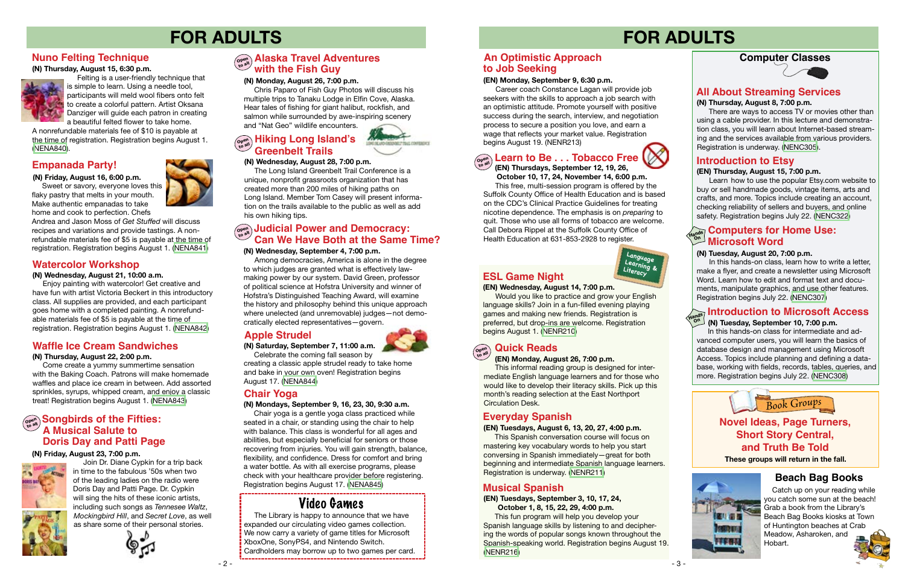- 3 -

# **Computer Classes**



# **FOR ADULTS FOR ADULTS**



# **All About Streaming Services**

#### **(N) Tuesday, August 20, 7:00 p.m.**

In this hands-on class, learn how to write a letter, make a flyer, and create a newsletter using Microsoft Word. Learn how to edit and format text and documents, manipulate graphics, and use other features. Registration begins July 22. ([NENC307\)](https://search.livebrary.com/record=g1093090~S43)

# **Introduction to Microsoft Access**

#### **(EN) Thursday, August 15, 7:00 p.m.**

 Learn how to use the popular Etsy.com website to buy or sell handmade goods, vintage items, arts and crafts, and more. Topics include creating an account, checking reliability of sellers and buyers, and online safety. Registration begins July 22. [\(NENC322\)](https://search.livebrary.com/record=g1093089~S43)

# **A<sub>ndas</sub> Computers for Home Use:**<br>
Microsoft Word

# **Introduction to Etsy**

#### **(N) Thursday, August 8, 7:00 p.m.**

 There are ways to access TV or movies other than using a cable provider. In this lecture and demonstration class, you will learn about Internet-based streaming and the services available from various providers. Registration is underway. [\(NENC305\)](https://search.livebrary.com/record=g1091715~S43).

#### **(N) Friday, August 16, 6:00 p.m.**

Sweet or savory, everyone loves this flaky pastry that melts in your mouth. Make authentic empanadas to take home and cook to perfection. Chefs

Andrea and Jason Moss of *Get Stuffed* will discuss recipes and variations and provide tastings. A nonrefundable materials fee of \$5 is payable at the time of registration. Registration begins August 1. ([NENA841](https://search.livebrary.com/record=g1093076~S43))

# **Empanada Party!**

# **Watercolor Workshop**

#### **(N) Wednesday, August 21, 10:00 a.m.**

# **Judicial Power and Democracy: Can We Have Both at the Same Time?**

 Enjoy painting with watercolor! Get creative and have fun with artist Victoria Beckert in this introductory class. All supplies are provided, and each participant goes home with a completed painting. A nonrefundable materials fee of \$5 is payable at the time of registration. Registration begins August 1. [\(NENA842](https://search.livebrary.com/record=g1093077~S43))

*Book Groups*

**These groups will return in the fall.**



# **Nuno Felting Technique**

**(N) Thursday, August 15, 6:30 p.m.**



Felting is a user-friendly technique that is simple to learn. Using a needle tool, participants will meld wool fibers onto felt to create a colorful pattern. Artist Oksana Danziger will guide each patron in creating a beautiful felted flower to take home.

A nonrefundable materials fee of \$10 is payable at the time of registration. Registration begins August 1. [\(NENA840\)](https://search.livebrary.com/record=g1093074~S43).

#### **(N) Wednesday, September 4, 7:00 p.m.**

 Among democracies, America is alone in the degree to which judges are granted what is effectively lawmaking power by our system. David Green, professor of political science at Hofstra University and winner of Hofstra's Distinguished Teaching Award, will examine the history and philosophy behind this unique approach where unelected (and unremovable) judges—not democratically elected representatives—govern.

# **<u>Open</u> <b>Songbirds of the Fifties: A Musical Salute to Doris Day and Patti Page**

# $\left(\begin{smallmatrix} \mathsf{open}\ \mathsf{on} \mathsf{on} \mathsf{on} \mathsf{on} \mathsf{on} \mathsf{on} \mathsf{on} \mathsf{on} \mathsf{on} \mathsf{on} \mathsf{on} \mathsf{on} \mathsf{on} \mathsf{on} \mathsf{on} \mathsf{on} \mathsf{on} \mathsf{on} \mathsf{on} \mathsf{on} \mathsf{on} \mathsf{on} \mathsf{on} \mathsf{on} \mathsf{on} \mathsf{on} \mathsf{on} \mathsf{on} \mathsf{on} \mathsf{on} \mathsf{on} \mathsf{on} \mathsf{on} \mathsf{on} \mathsf$ **Greenbelt Trails**

#### **(N) Monday, August 26, 7:00 p.m.**

 Chris Paparo of Fish Guy Photos will discuss his multiple trips to Tanaku Lodge in Elfin Cove, Alaska. Hear tales of fishing for giant halibut, rockfish, and salmon while surrounded by awe-inspiring scenery and "Nat Geo" wildlife encounters.

**PERIODI** 

# **Apple Strudel**

**(N) Saturday, September 7, 11:00 a.m.**

Celebrate the coming fall season by creating a classic apple strudel ready to take home and bake in your own oven! Registration begins August 17. [\(NENA844](https://search.livebrary.com/record=g1093096~S43))

#### **(EN) Monday, September 9, 6:30 p.m.**

Career coach Constance Lagan will provide job seekers with the skills to approach a job search with an optimistic attitude. Promote yourself with positive success during the search, interview, and negotiation process to secure a position you love, and earn a wage that reflects your market value. Registration begins August 19. (NENR213)

# **ESL Game Night**



# **Quick Reads**

#### **(EN) Monday, August 26, 7:00 p.m.**

# **Alaska Travel Adventures Open to all with the Fish Guy**

 This informal reading group is designed for intermediate English language learners and for those who would like to develop their literacy skills. Pick up this month's reading selection at the East Northport Circulation Desk.

# **Novel Ideas, Page Turners, Short Story Central, and Truth Be Told**

 Catch up on your reading while you catch some sun at the beach! Grab a book from the Library's Beach Bag Books kiosks at Town of Huntington beaches at Crab Meadow, Asharoken, and Hobart.



# **Beach Bag Books**

### **Waffle Ice Cream Sandwiches**

#### **(N) Thursday, August 22, 2:00 p.m.**

 Come create a yummy summertime sensation with the Baking Coach. Patrons will make homemade waffles and place ice cream in between. Add assorted sprinkles, syrups, whipped cream, and enjoy a classic treat! Registration begins August 1. [\(NENA843](https://search.livebrary.com/record=g1093149~S43))

#### **(N) Friday, August 23, 7:00 p.m.**



### **An Optimistic Approach to Job Seeking**

 Join Dr. Diane Cypkin for a trip back in time to the fabulous '50s when two of the leading ladies on the radio were Doris Day and Patti Page. Dr. Cypkin will sing the hits of these iconic artists, including such songs as *Tennesee Waltz*, *Mockingbird Hill*, and *Secret Love*, as well as share some of their personal stories.



#### **(N) Wednesday, August 28, 7:00 p.m.**

 The Long Island Greenbelt Trail Conference is a unique, nonprofit grassroots organization that has created more than 200 miles of hiking paths on Long Island. Member Tom Casey will present information on the trails available to the public as well as add his own hiking tips.

# **Chair Yoga**

#### **(N) Mondays, September 9, 16, 23, 30, 9:30 a.m.**

 Chair yoga is a gentle yoga class practiced while seated in a chair, or standing using the chair to help with balance. This class is wonderful for all ages and abilities, but especially beneficial for seniors or those recovering from injuries. You will gain strength, balance, flexibility, and confidence. Dress for comfort and bring a water bottle. As with all exercise programs, please check with your healthcare provider before registering. Registration begins August 17. [\(NENA845\)](https://search.livebrary.com/record=g1093099~S43)

**October 10, 17, 24, November 14, 6:00 p.m.** 

#### **Learn to Be . . . Tobacco Free (EN) Thursdays, September 12, 19, 26, Open to all**

 This free, multi-session program is offered by the Suffolk County Office of Health Education and is based on the CDC's Clinical Practice Guidelines for treating nicotine dependence. The emphasis is on *preparing* to quit. Those who use all forms of tobacco are welcome. Call Debora Rippel at the Suffolk County Office of Health Education at 631-853-2928 to register.

#### **(EN) Wednesday, August 14, 7:00 p.m.**

Would you like to practice and grow your English language skills? Join in a fun-filled evening playing games and making new friends. Registration is preferred, but drop-ins are welcome. Registration begins August 1. ([NENR210\)](https://search.livebrary.com/record=g1093332~S43)

**Open to all**

# **Everyday Spanish**

#### **(EN) Tuesdays, August 6, 13, 20, 27, 4:00 p.m.**

 This Spanish conversation course will focus on mastering key vocabulary words to help you start conversing in Spanish immediately—great for both beginning and intermediate Spanish language learners. Registration is underway. ([NENR211\)](https://search.livebrary.com/record=g1092507~S43)

### **Musical Spanish**

#### **(EN) Tuesdays, September 3, 10, 17, 24, October 1, 8, 15, 22, 29, 4:00 p.m.**

 This fun program will help you develop your Spanish language skills by listening to and deciphering the words of popular songs known throughout the Spanish-speaking world. Registration begins August 19. ([NENR216\)](https://search.livebrary.com/record=g1093292~S43)

#### **(N) Tuesday, September 10, 7:00 p.m.**

 In this hands-on class for intermediate and advanced computer users, you will learn the basics of database design and management using Microsoft Access. Topics include planning and defining a database, working with fields, records, tables, queries, and more. Registration begins July 22. ([NENC308](https://search.livebrary.com/record=g1057769~S43))

**On**

 The Library is happy to announce that we have expanded our circulating video games collection. We now carry a variety of game titles for Microsoft XboxOne, SonyPS4, and Nintendo Switch. Cardholders may borrow up to two games per card.

# Video Games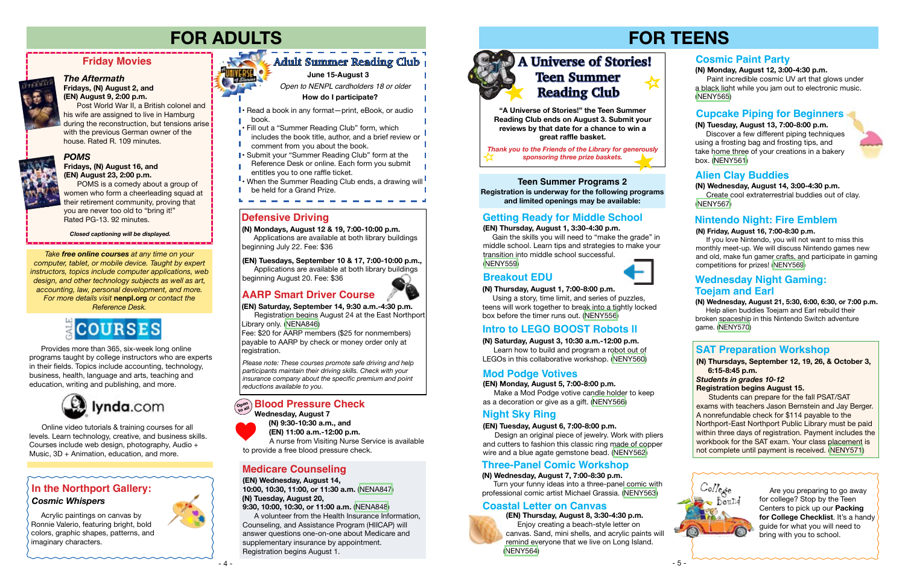



# *The Aftermath*

**Fridays, (N) August 2, and (EN) August 9, 2:00 p.m.** Post World War II, a British colonel and

his wife are assigned to live in Hamburg during the reconstruction, but tensions arise with the previous German owner of the house. Rated R. 109 minutes.

# **Friday Movies**





#### **Fridays, (N) August 16, and (EN) August 23, 2:00 p.m.**

POMS is a comedy about a group of women who form a cheerleading squad at their retirement community, proving that you are never too old to "bring it!" Rated PG-13. 92 minutes.

*Closed captioning will be displayed.*

# **FOR ADULTS FOR TEENS**

 Online video tutorials & training courses for all levels. Learn technology, creative, and business skills. Courses include web design, photography, Audio + Music, 3D + Animation, education, and more.

# **In the Northport Gallery:**

# **Defensive Driving**

*Please note: These courses promote safe driving and help participants maintain their driving skills. Check with your insurance company about the specific premium and point reductions available to you.*

**(N) Mondays, August 12 & 19, 7:00-10:00 p.m.** Applications are available at both library buildings beginning July 22. Fee: \$36

**(EN) Tuesdays, September 10 & 17, 7:00-10:00 p.m.,** Applications are available at both library buildings beginning August 20. Fee: \$36

- Read a book in any format—print, eBook, or audio book.
- Fill out a "Summer Reading Club" form, which
- includes the book title, author, and a brief review or comment from you about the book.
- Submit your "Summer Reading Club" form at the Reference Desk or online. Each form you submit
- entitles you to one raffle ticket.
- When the Summer Reading Club ends, a drawing will **I** be held for a Grand Prize.

<u> 2002 - 2002 - 20</u>

*Thank you to the Friends of the Library for generously sponsoring three prize baskets.*

**"A Universe of Stories!" the Teen Summer Reading Club ends on August 3. Submit your reviews by that date for a chance to win a great raffle basket.**

#### **Teen Summer Programs 2**

**Registration is underway for the following programs and limited openings may be available:**



*Take free online courses at any time on your computer, tablet, or mobile device. Taught by expert instructors, topics include computer applications, web design, and other technology subjects as well as art, accounting, law, personal development, and more. For more details visit* **nenpl.org** *or contact the Reference Desk.*



 Provides more than 365, six-week long online programs taught by college instructors who are experts in their fields. Topics include accounting, technology, business, health, language and arts, teaching and education, writing and publishing, and more.



 Design an original piece of jewelry. Work with pliers and cutters to fashion this classic ring made of copper wire and a blue agate gemstone bead. ([NENY562](https://search.livebrary.com/record=g1091586~S43))

 Acrylic paintings on canvas by Ronnie Valerio, featuring bright, bold colors, graphic shapes, patterns, and imaginary characters.



#### *Cosmic Whispers*

# **Adult Summer Reading Club**

*Open to NENPL cardholders 18 or older*

#### **How do I participate?**

**June 15-August 3**

# **AARP Smart Driver Course**

**(EN) Saturday, September 14, 9:30 a.m.-4:30 p.m.** Registration begins August 24 at the East Northport Library only. [\(NENA846](https://search.livebrary.com/record=g1093073~S43))

Fee: \$20 for AARP members (\$25 for nonmembers) payable to AARP by check or money order only at registration.

# **(EN) Wednesday, August 14,**

**10:00, 10:30, 11:00, or 11:30 a.m.** [\(NENA847\)](https://search.livebrary.com/record=g1093087~S43)  **(N) Tuesday, August 20,**

**9:30, 10:00, 10:30, or 11:00 a.m.** ([NENA848](https://search.livebrary.com/record=g1093088~S43)) A volunteer from the Health Insurance Information, Counseling, and Assistance Program (HIICAP) will answer questions one-on-one about Medicare and supplementary insurance by appointment. Registration begins August 1.

# **Medicare Counseling**

 **Wednesday, August 7**



 **(EN) 11:00 a.m.-12:00 p.m.** 

 A nurse from Visiting Nurse Service is available to provide a free blood pressure check.

#### **Open to all Blood Pressure Check**

#### **(N) Thursday, August 1, 7:00-8:00 p.m.**

 Using a story, time limit, and series of puzzles, teens will work together to break into a tightly locked box before the timer runs out. ([NENY556](https://search.livebrary.com/record=g1091611~S43))



#### **(EN) Thursday, August 1, 3:30-4:30 p.m.**

 Gain the skills you will need to "make the grade" in middle school. Learn tips and strategies to make your transition into middle school successful. ([NENY559\)](https://search.livebrary.com/record=g1091552~S43)

# **Getting Ready for Middle School**

**(N) Saturday, August 3, 10:30 a.m.-12:00 p.m.**

 Learn how to build and program a robot out of LEGOs in this collaborative workshop. ([NENY560](https://search.livebrary.com/record=g1091584~S43))

# **Intro to LEGO BOOST Robots ll**

### **Cupcake Piping for Beginners**

#### **(N) Tuesday, August 13, 7:00-8:00 p.m.**

Discover a few different piping techniques using a frosting bag and frosting tips, and take home three of your creations in a bakery box. [\(NENY561](https://search.livebrary.com/record=g1091585~S43))



# **Mod Podge Votives**

#### **(EN) Tuesday, August 6, 7:00-8:00 p.m.**

# **Night Sky Ring**

**(EN) Monday, August 5, 7:00-8:00 p.m.**

Make a Mod Podge votive candle holder to keep as a decoration or give as a gift. ([NENY566](https://search.livebrary.com/record=g1091601~S43))

**(N) Wednesday, August 7, 7:00-8:30 p.m.** Turn your funny ideas into a three-panel comic with professional comic artist Michael Grassia. ([NENY563](https://search.livebrary.com/record=g1091597~S43))

# **Three-Panel Comic Workshop**

**(EN) Thursday, August 8, 3:30-4:30 p.m.** Enjoy creating a beach-style letter on canvas. Sand, mini shells, and acrylic paints will remind everyone that we live on Long Island. [\(NENY564\)](https://search.livebrary.com/record=g1091599~S43)

# **Coastal Letter on Canvas**



#### **(N) Monday, August 12, 3:00-4:30 p.m.**

 Paint incredible cosmic UV art that glows under a black light while you jam out to electronic music. ([NENY565\)](https://search.livebrary.com/record=g1091600~S43)

# **Cosmic Paint Party**

**(N) Thursdays, September 12, 19, 26, & October 3, 6:15-8:45 p.m.**

#### *Students in grades 10-12*

#### **Registration begins August 15.**

 Students can prepare for the fall PSAT/SAT exams with teachers Jason Bernstein and Jay Berger. A nonrefundable check for \$114 payable to the Northport-East Northport Public Library must be paid within three days of registration. Payment includes the workbook for the SAT exam. Your class placement is not complete until payment is received. ([NENY571](https://search.livebrary.com/record=g1093069~S43))



# **SAT Preparation Workshop**

# **Alien Clay Buddies**

#### **(N) Wednesday, August 14, 3:00-4:30 p.m.**

Create cool extraterrestrial buddies out of clay. [\(NENY567\)](https://search.livebrary.com/record=g1091602~S43)

### **Nintendo Night: Fire Emblem**

#### **(N) Friday, August 16, 7:00-8:30 p.m.**

If you love Nintendo, you will not want to miss this monthly meet-up. We will discuss Nintendo games new and old, make fun gamer crafts, and participate in gaming competitions for prizes! ([NENY569](https://search.livebrary.com/record=g1091608~S43))

#### **(N) Wednesday, August 21, 5:30, 6:00, 6:30, or 7:00 p.m.**

## **Wednesday Night Gaming: Toejam and Earl**

Help alien buddies Toejam and Earl rebuild their broken spaceship in this Nintendo Switch adventure game. [\(NENY570\)](https://search.livebrary.com/record=g1091609~S43)

> Are you preparing to go away for college? Stop by the Teen Centers to pick up our **Packing**  for College Checklist. It's a handy guide for what you will need to bring with you to school.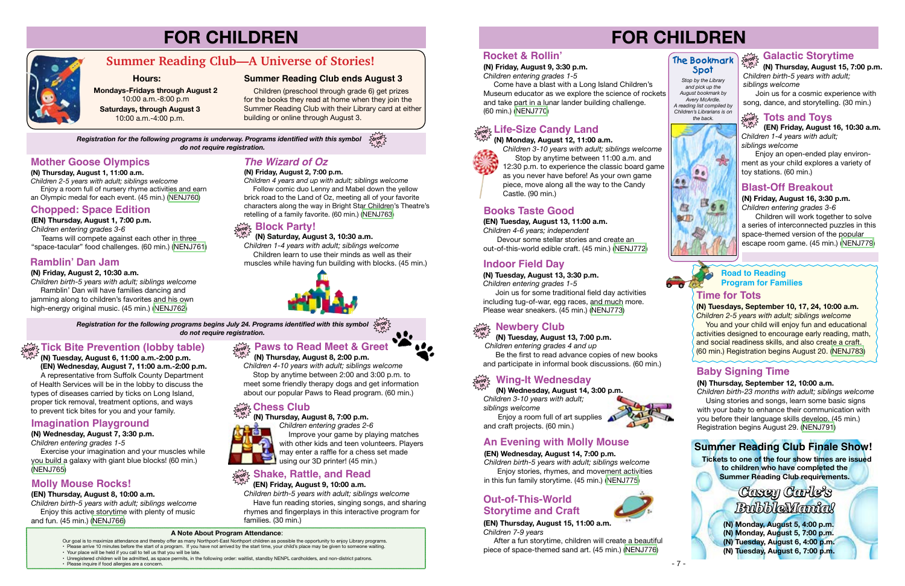# **FOR CHILDREN**

*Stop by the Library and pick up the August bookmark by Avery McArdle. A reading list compiled by Children's Librarians is on the back.*



# **Galactic Storytime**

*Registration for the following programs is underway. Programs identified with this symbol*  $\frac{1}{2}$ **drop**<sub>3</sub> *do not require registration.*

# **The Bookmark Spot**

# **FOR CHILDREN**



**Mondays-Fridays through August 2** 10:00 a.m.-8:00 p.m **Saturdays, through August 3** 10:00 a.m.-4:00 p.m.

#### **Hours: Summer Reading Club ends August 3**

 Children (preschool through grade 6) get prizes for the books they read at home when they join the Summer Reading Club with their Library card at either building or online through August 3.

# **Summer Reading Club—A Universe of Stories!**

**(EN) Thursday, August 1, 7:00 p.m.**

*Children entering grades 3-6*

Teams will compete against each other in three "space-tacular" food challenges. (60 min.) ([NENJ761](https://search.livebrary.com/record=g1090439~S43))

# **Chopped: Space Edition**

#### **(N) Thursday, August 1, 11:00 a.m.**

*Children 2-5 years with adult; siblings welcome* Enjoy a room full of nursery rhyme activities and earn an Olympic medal for each event. (45 min.) [\(NENJ760\)](https://search.livebrary.com/record=g1090561~S43)

## **Mother Goose Olympics**

# **drop in Tick Bite Prevention (lobby table)**

#### **(N) Friday, August 2, 10:30 a.m.**

Exercise your imagination and your muscles while you build a galaxy with giant blue blocks! (60 min.) ([NENJ765](https://search.livebrary.com/record=g1090569~S43))

*Children birth-5 years with adult; siblings welcome* Ramblin' Dan will have families dancing and jamming along to children's favorites and his own high-energy original music. (45 min.) [\(NENJ762\)](https://search.livebrary.com/record=g1090563~S43)

# **Ramblin' Dan Jam**

*Children 1-4 years with adult; siblings welcome* Children learn to use their minds as well as their muscles while having fun building with blocks. (45 min.)



#### *Children 4 years and up with adult; siblings welcome*

 **(N) Saturday, August 3, 10:30 a.m. in**

**(N) Friday, August 2, 7:00 p.m.** *The Wizard of Oz*

 Follow comic duo Lenny and Mabel down the yellow brick road to the Land of Oz, meeting all of your favorite characters along the way in Bright Star Children's Theatre's retelling of a family favorite. (60 min.) [\(NENJ763\)](https://search.livebrary.com/record=g1090565~S43)

# **Block Party!**

- Your place will be held if you call to tell us that you will be late.
- -<br>.................... • Unregistered children will be admitted, as space permits, in the following order: waitlist, standby NENPL cardholders, and non-district patrons.
- Please inquire if food allergies are a concern.

*Registration for the following programs begins July 24. Programs identified with this symbol* **drop in** *do not require registration.*

 **(N) Tuesday, August 6, 11:00 a.m.-2:00 p.m. (EN) Wednesday, August 7, 11:00 a.m.-2:00 p.m.** A representative from Suffolk County Department of Health Services will be in the lobby to discuss the types of diseases carried by ticks on Long Island, proper tick removal, treatment options, and ways to prevent tick bites for you and your family.

Devour some stellar stories and create an out-of-this-world edible craft. (45 min.) [\(NENJ772\)](https://search.livebrary.com/record=g1090412~S43)

Come have a blast with a Long Island Children's Museum educator as we explore the science of rockets and take part in a lunar lander building challenge. (60 min.) [\(NENJ770\)](https://search.livebrary.com/record=g1090581~S43)

**(N) Wednesday, August 7, 3:30 p.m.**

*Children entering grades 1-5*

**in (N) Tuesday, August 13, 7:00 p.m.**  *Children entering grades 4 and up* Be the first to read advance copies of new books

# **Imagination Playground**

#### **(EN) Thursday, August 8, 10:00 a.m.**

*Children birth-5 years with adult; siblings welcome*  Enjoy this active storytime with plenty of music and fun. (45 min.) ([NENJ766](https://search.livebrary.com/record=g1090444~S43))

# **Molly Mouse Rocks!**

After a fun storytime, children will create a beautiful piece of space-themed sand art. (45 min.) ([NENJ776](https://search.livebrary.com/record=g1090414~S43))



 **(N) Thursday, August 8, 2:00 p.m.** *Children 4-10 years with adult; siblings welcome* Stop by anytime between 2:00 and 3:00 p.m. to meet some friendly therapy dogs and get information about our popular Paws to Read program. (60 min.)

# **drop Paws to Read Meet & Greet in**

# **(N) Thursday, August 8, 7:00 p.m.**



*Children entering grades 2-6* Improve your game by playing matches with other kids and teen volunteers. Players may enter a raffle for a chess set made using our 3D printer! (45 min.)

# $\frac{\partial \bm{\phi}_i}{\partial \bm{\phi}_i}$  Shake, Rattle, and Read

 **(EN) Friday, August 9, 10:00 a.m.**

*Children birth-5 years with adult; siblings welcome* Have fun reading stories, singing songs, and sharing

rhymes and fingerplays in this interactive program for families. (30 min.)

Our goal is to maximize attendance and thereby offer as many Northport-East Northport children as possible the opportunity to enjoy Library programs. • Please arrive 10 minutes before the start of a program. If you have not arrived by the start time, your child's place may be given to someone waiting.

#### **A Note About Program Attendance**:

#### **(N) Monday, August 12, 11:00 a.m.**



# **drop in Life-Size Candy Land**

*Children 3-10 years with adult; siblings welcome* Stop by anytime between 11:00 a.m. and 12:30 p.m. to experience the classic board game as you never have before! As your own game piece, move along all the way to the Candy Castle. (90 min.)

**(EN) Tuesday, August 13, 11:00 a.m.** *Children 4-6 years; independent*

# **Books Taste Good**

#### **(N) Friday, August 9, 3:30 p.m.**

*Children entering grades 1-5*

# **Rocket & Rollin'**

#### **(N) Tuesday, August 13, 3:30 p.m.**

*Children entering grades 1-5* Join us for some traditional field day activities including tug-of-war, egg races, and much more. Please wear sneakers. (45 min.) ([NENJ773](https://search.livebrary.com/record=g1090583~S43))

# **Indoor Field Day**

#### **drop Newbery Club**

#### **Chess Club drop in**

and participate in informal book discussions. (60 min.)

 **(N) Wednesday, August 14, 3:00 p.m.** *Children 3-10 years with adult;*

#### **drop in Wing-It Wednesday**

*siblings welcome* Enjoy a room full of art supplies and craft projects. (60 min.)



**(EN) Wednesday, August 14, 7:00 p.m.**

*Children birth-5 years with adult; siblings welcome*  Enjoy stories, rhymes, and movement activities

in this fun family storytime. (45 min.) [\(NENJ775\)](https://search.livebrary.com/record=g1090443~S43)

# **An Evening with Molly Mouse**

**(EN) Thursday, August 15, 11:00 a.m.** *Children 7-9 years*

 **(N) Thursday, August 15, 7:00 p.m.** *Children birth-5 years with adult; siblings welcome*

# **Storytime and Craft Out-of-This-World**



 Join us for a cosmic experience with song, dance, and storytelling. (30 min.)

 **(EN) Friday, August 16, 10:30 a.m.** *Children 1-4 years with adult; siblings welcome* 

# **drop in Tots and Toys**

Enjoy an open-ended play environment as your child explores a variety of toy stations. (60 min.)

**(N) Friday, August 16, 3:30 p.m.** *Children entering grades 3-6*

 Children will work together to solve a series of interconnected puzzles in this space-themed version of the popular escape room game. (45 min.) ([NENJ779](https://search.livebrary.com/record=g1090590~S43))

# **Blast-Off Breakout**

# **Time for Tots**

**(N) Tuesdays, September 10, 17, 24, 10:00 a.m.** *Children 2-5 years with adult; siblings welcome* You and your child will enjoy fun and educational activities designed to encourage early reading, math, and social readiness skills, and also create a craft. (60 min.) Registration begins August 20. [\(NENJ783\)](https://search.livebrary.com/record=g1093255~S43)

### **Road to Reading Program for Families**

 **Tickets to one of the four show times are issued Summer Reading Club Finale Show!**

**to children who have completed the Summer Reading Club requirements.**

*Casey Carle's BubbleMania!*

**(N) Monday, August 5, 4:00 p.m. (N) Monday, August 5, 7:00 p.m. (N) Tuesday, August 6, 4:00 p.m. (N) Tuesday, August 6, 7:00 p.m.** 



#### **(N) Thursday, September 12, 10:00 a.m.**

*Children birth-23 months with adult; siblings welcome*  Using stories and songs, learn some basic signs with your baby to enhance their communication with you before their language skills develop. (45 min.) Registration begins August 29. [\(NENJ791\)](https://search.livebrary.com/record=g1093265~S43)

# **Baby Signing Time**